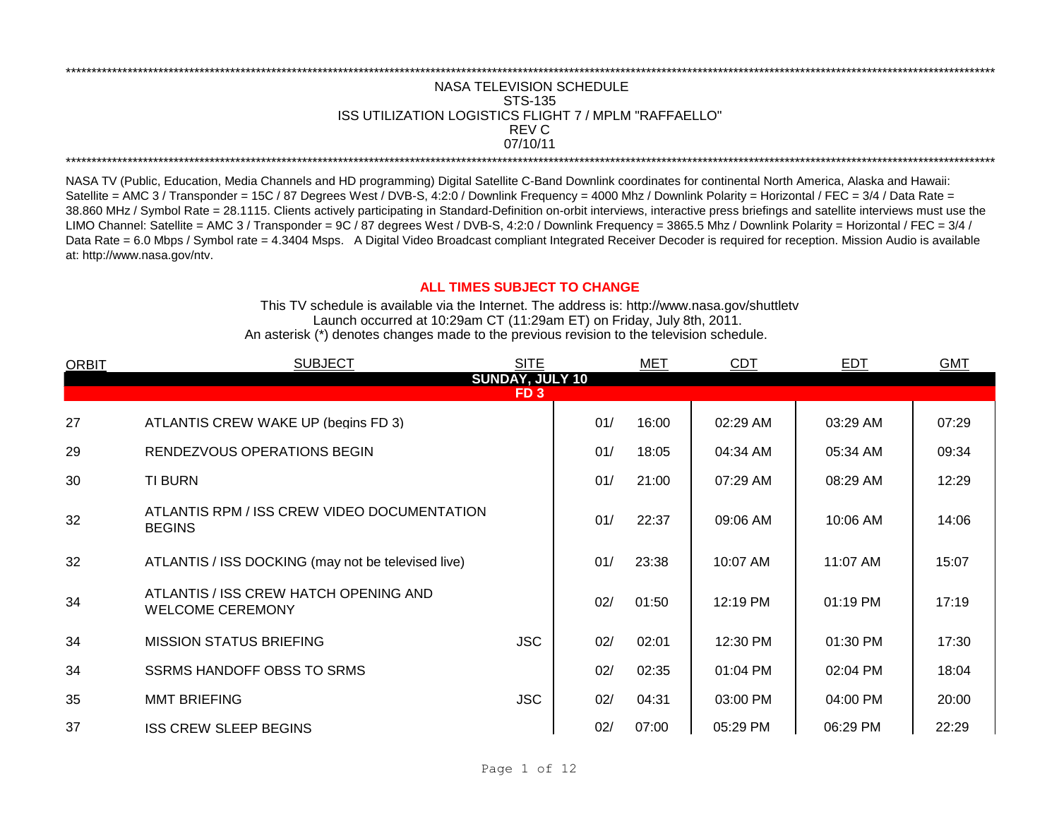## REV C \*\*\*\*\*\*\*\*\*\*\*\*\*\*\*\*\*\*\*\*\*\*\*\*\*\*\*\*\*\*\*\*\*\*\*\*\*\*\*\*\*\*\*\*\*\*\*\*\*\*\*\*\*\*\*\*\*\*\*\*\*\*\*\*\*\*\*\*\*\*\*\*\*\*\*\*\*\*\*\*\*\*\*\*\*\*\*\*\*\*\*\*\*\*\*\*\*\*\*\*\*\*\*\*\*\*\*\*\*\*\*\*\*\*\*\*\*\*\*\*\*\*\*\*\*\*\*\*\*\*\*\*\*\*\*\*\*\*\*\*\*\*\*\*\*\*\*\*\*\*\*\*\*\*\*\*\*\*\*\*\*\*\*\*\*\*\*\*\*\*\*\*\*\*\*\*\*\*\*\*\*\*\*\*\* NASA TELEVISION SCHEDULE STS-135 ISS UTILIZATION LOGISTICS FLIGHT 7 / MPLM "RAFFAELLO" 07/10/11 \*\*\*\*\*\*\*\*\*\*\*\*\*\*\*\*\*\*\*\*\*\*\*\*\*\*\*\*\*\*\*\*\*\*\*\*\*\*\*\*\*\*\*\*\*\*\*\*\*\*\*\*\*\*\*\*\*\*\*\*\*\*\*\*\*\*\*\*\*\*\*\*\*\*\*\*\*\*\*\*\*\*\*\*\*\*\*\*\*\*\*\*\*\*\*\*\*\*\*\*\*\*\*\*\*\*\*\*\*\*\*\*\*\*\*\*\*\*\*\*\*\*\*\*\*\*\*\*\*\*\*\*\*\*\*\*\*\*\*\*\*\*\*\*\*\*\*\*\*\*\*\*\*\*\*\*\*\*\*\*\*\*\*\*\*\*\*\*\*\*\*\*\*\*\*\*\*\*\*\*\*\*\*\*\*

NASA TV (Public, Education, Media Channels and HD programming) Digital Satellite C-Band Downlink coordinates for continental North America, Alaska and Hawaii: Satellite = AMC 3 / Transponder = 15C / 87 Degrees West / DVB-S, 4:2:0 / Downlink Frequency = 4000 Mhz / Downlink Polarity = Horizontal / FEC = 3/4 / Data Rate = 38.860 MHz / Symbol Rate = 28.1115. Clients actively participating in Standard-Definition on-orbit interviews, interactive press briefings and satellite interviews must use the LIMO Channel: Satellite = AMC 3 / Transponder = 9C / 87 degrees West / DVB-S, 4:2:0 / Downlink Frequency = 3865.5 Mhz / Downlink Polarity = Horizontal / FEC = 3/4 / Data Rate = 6.0 Mbps / Symbol rate = 4.3404 Msps. A Digital Video Broadcast compliant Integrated Receiver Decoder is required for reception. Mission Audio is available at: http://www.nasa.gov/ntv.

## **ALL TIMES SUBJECT TO CHANGE**

Launch occurred at 10:29am CT (11:29am ET) on Friday, July 8th, 2011. An asterisk (\*) denotes changes made to the previous revision to the television schedule. This TV schedule is available via the Internet. The address is: http://www.nasa.gov/shuttletv

| <b>ORBIT</b> | <b>SUBJECT</b>                                                   | <b>SITE</b>     |     | <b>MET</b> | CDT      | <b>EDT</b> | <b>GMT</b> |  |  |  |  |
|--------------|------------------------------------------------------------------|-----------------|-----|------------|----------|------------|------------|--|--|--|--|
|              | SUNDAY, JULY 10                                                  |                 |     |            |          |            |            |  |  |  |  |
|              |                                                                  | FD <sub>3</sub> |     |            |          |            |            |  |  |  |  |
| 27           | ATLANTIS CREW WAKE UP (begins FD 3)                              |                 | 01/ | 16:00      | 02:29 AM | 03:29 AM   | 07:29      |  |  |  |  |
| 29           | RENDEZVOUS OPERATIONS BEGIN                                      |                 | 01/ | 18:05      | 04:34 AM | 05:34 AM   | 09:34      |  |  |  |  |
| 30           | <b>TI BURN</b>                                                   |                 | 01/ | 21:00      | 07:29 AM | 08:29 AM   | 12:29      |  |  |  |  |
| 32           | ATLANTIS RPM / ISS CREW VIDEO DOCUMENTATION<br><b>BEGINS</b>     |                 | 01/ | 22:37      | 09:06 AM | 10:06 AM   | 14:06      |  |  |  |  |
| 32           | ATLANTIS / ISS DOCKING (may not be televised live)               |                 | 01/ | 23:38      | 10:07 AM | 11:07 AM   | 15:07      |  |  |  |  |
| 34           | ATLANTIS / ISS CREW HATCH OPENING AND<br><b>WELCOME CEREMONY</b> |                 | 02/ | 01:50      | 12:19 PM | $01:19$ PM | 17:19      |  |  |  |  |
| 34           | <b>MISSION STATUS BRIEFING</b>                                   | <b>JSC</b>      | 02/ | 02:01      | 12:30 PM | 01:30 PM   | 17:30      |  |  |  |  |
| 34           | <b>SSRMS HANDOFF OBSS TO SRMS</b>                                |                 | 02/ | 02:35      | 01:04 PM | 02:04 PM   | 18:04      |  |  |  |  |
| 35           | <b>MMT BRIEFING</b>                                              | <b>JSC</b>      | 02/ | 04:31      | 03:00 PM | 04:00 PM   | 20:00      |  |  |  |  |
| 37           | <b>ISS CREW SLEEP BEGINS</b>                                     |                 | 02/ | 07:00      | 05:29 PM | 06:29 PM   | 22:29      |  |  |  |  |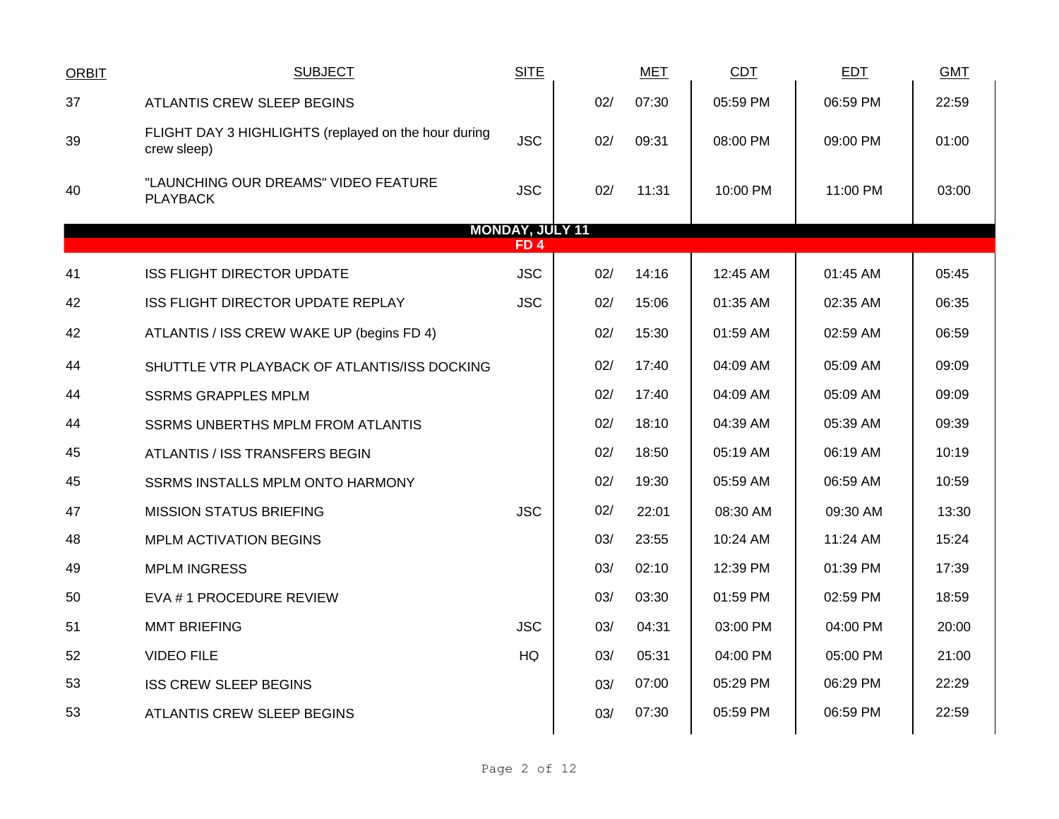| <b>ORBIT</b> | <b>SUBJECT</b>                                                      | <b>SITE</b>            |     | <b>MET</b> | <b>CDT</b> | <b>EDT</b> | <b>GMT</b> |
|--------------|---------------------------------------------------------------------|------------------------|-----|------------|------------|------------|------------|
| 37           | ATLANTIS CREW SLEEP BEGINS                                          |                        | 02/ | 07:30      | 05:59 PM   | 06:59 PM   | 22:59      |
| 39           | FLIGHT DAY 3 HIGHLIGHTS (replayed on the hour during<br>crew sleep) | <b>JSC</b>             | 02/ | 09:31      | 08:00 PM   | 09:00 PM   | 01:00      |
| 40           | "LAUNCHING OUR DREAMS" VIDEO FEATURE<br><b>PLAYBACK</b>             | <b>JSC</b>             | 02/ | 11:31      | 10:00 PM   | 11:00 PM   | 03:00      |
|              |                                                                     | <b>MONDAY, JULY 11</b> |     |            |            |            |            |
|              |                                                                     | FD 4                   |     |            |            |            |            |
| 41           | <b>ISS FLIGHT DIRECTOR UPDATE</b>                                   | <b>JSC</b>             | 02/ | 14:16      | 12:45 AM   | 01:45 AM   | 05:45      |
| 42           | ISS FLIGHT DIRECTOR UPDATE REPLAY                                   | <b>JSC</b>             | 02/ | 15:06      | 01:35 AM   | 02:35 AM   | 06:35      |
| 42           | ATLANTIS / ISS CREW WAKE UP (begins FD 4)                           |                        | 02/ | 15:30      | 01:59 AM   | 02:59 AM   | 06:59      |
| 44           | SHUTTLE VTR PLAYBACK OF ATLANTIS/ISS DOCKING                        |                        | 02/ | 17:40      | 04:09 AM   | 05:09 AM   | 09:09      |
| 44           | <b>SSRMS GRAPPLES MPLM</b>                                          |                        | 02/ | 17:40      | 04:09 AM   | 05:09 AM   | 09:09      |
| 44           | <b>SSRMS UNBERTHS MPLM FROM ATLANTIS</b>                            |                        | 02/ | 18:10      | 04:39 AM   | 05:39 AM   | 09:39      |
| 45           | ATLANTIS / ISS TRANSFERS BEGIN                                      |                        | 02/ | 18:50      | 05:19 AM   | 06:19 AM   | 10:19      |
| 45           | SSRMS INSTALLS MPLM ONTO HARMONY                                    |                        | 02/ | 19:30      | 05:59 AM   | 06:59 AM   | 10:59      |
| 47           | <b>MISSION STATUS BRIEFING</b>                                      | <b>JSC</b>             | 02/ | 22:01      | 08:30 AM   | 09:30 AM   | 13:30      |
| 48           | <b>MPLM ACTIVATION BEGINS</b>                                       |                        | 03/ | 23:55      | 10:24 AM   | 11:24 AM   | 15:24      |
| 49           | <b>MPLM INGRESS</b>                                                 |                        | 03/ | 02:10      | 12:39 PM   | 01:39 PM   | 17:39      |
| 50           | EVA # 1 PROCEDURE REVIEW                                            |                        | 03/ | 03:30      | 01:59 PM   | 02:59 PM   | 18:59      |
| 51           | <b>MMT BRIEFING</b>                                                 | <b>JSC</b>             | 03/ | 04:31      | 03:00 PM   | 04:00 PM   | 20:00      |
| 52           | <b>VIDEO FILE</b>                                                   | HQ                     | 03/ | 05:31      | 04:00 PM   | 05:00 PM   | 21:00      |
| 53           | <b>ISS CREW SLEEP BEGINS</b>                                        |                        | 03/ | 07:00      | 05:29 PM   | 06:29 PM   | 22:29      |
| 53           | <b>ATLANTIS CREW SLEEP BEGINS</b>                                   |                        | 03/ | 07:30      | 05:59 PM   | 06:59 PM   | 22:59      |
|              |                                                                     |                        |     |            |            |            |            |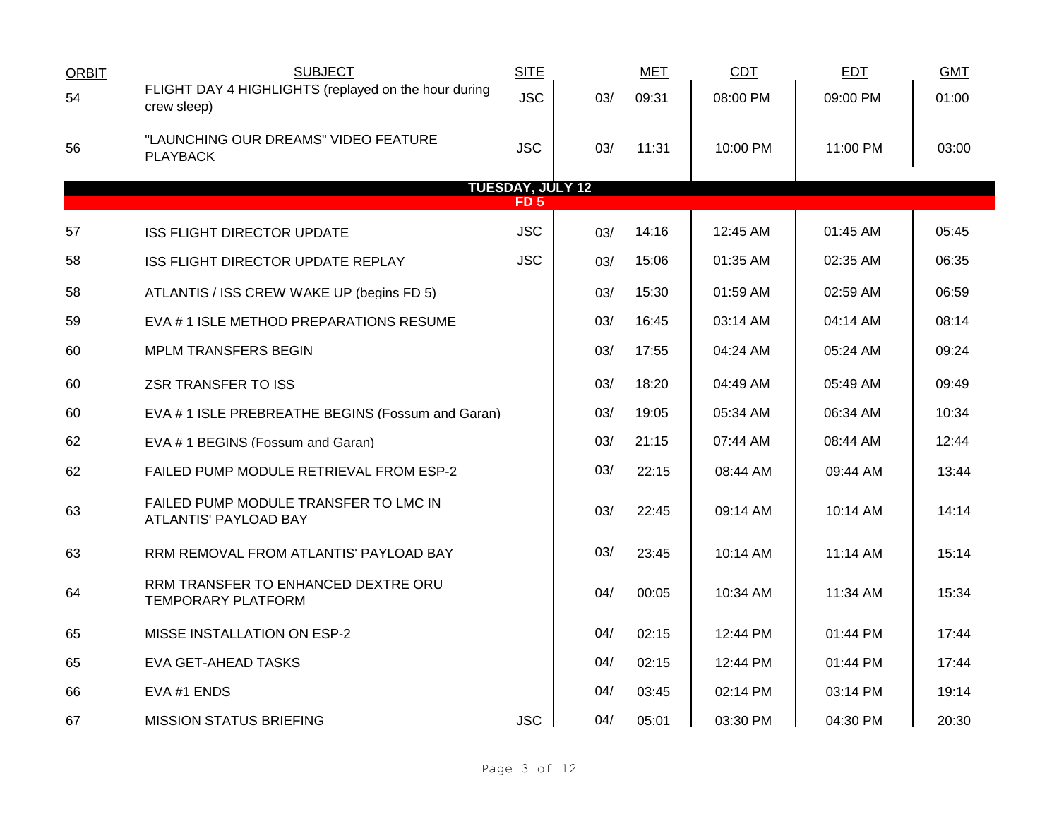| <b>ORBIT</b> | <b>SUBJECT</b>                                                      | <b>SITE</b>             |     | <b>MET</b> | <b>CDT</b>         | <b>EDT</b> | <b>GMT</b> |
|--------------|---------------------------------------------------------------------|-------------------------|-----|------------|--------------------|------------|------------|
| 54           | FLIGHT DAY 4 HIGHLIGHTS (replayed on the hour during<br>crew sleep) | <b>JSC</b>              | 03/ | 09:31      | 08:00 PM           | 09:00 PM   | 01:00      |
| 56           | "LAUNCHING OUR DREAMS" VIDEO FEATURE<br><b>PLAYBACK</b>             | <b>JSC</b>              | 03/ | 11:31      | 10:00 PM           | 11:00 PM   | 03:00      |
|              |                                                                     | <b>TUESDAY, JULY 12</b> |     |            |                    |            |            |
|              |                                                                     | FD 5                    |     |            |                    |            |            |
| 57           | <b>ISS FLIGHT DIRECTOR UPDATE</b>                                   | <b>JSC</b>              | 03/ | 14:16      | 12:45 AM           | 01:45 AM   | 05:45      |
| 58           | ISS FLIGHT DIRECTOR UPDATE REPLAY                                   | <b>JSC</b>              | 03/ | 15:06      | 01:35 AM           | 02:35 AM   | 06:35      |
| 58           | ATLANTIS / ISS CREW WAKE UP (begins FD 5)                           |                         | 03/ | 15:30      | 01:59 AM           | 02:59 AM   | 06:59      |
| 59           | EVA # 1 ISLE METHOD PREPARATIONS RESUME                             |                         | 03/ | 16:45      | 03:14 AM           | 04:14 AM   | 08:14      |
| 60           | <b>MPLM TRANSFERS BEGIN</b>                                         |                         | 03/ | 17:55      | 04:24 AM           | 05:24 AM   | 09:24      |
| 60           | <b>ZSR TRANSFER TO ISS</b>                                          |                         | 03/ | 18:20      | 04:49 AM           | 05:49 AM   | 09:49      |
| 60           | EVA # 1 ISLE PREBREATHE BEGINS (Fossum and Garan)                   |                         | 03/ | 19:05      | 05:34 AM           | 06:34 AM   | 10:34      |
| 62           | EVA # 1 BEGINS (Fossum and Garan)                                   |                         | 03/ | 21:15      | 07:44 AM           | 08:44 AM   | 12:44      |
| 62           | FAILED PUMP MODULE RETRIEVAL FROM ESP-2                             |                         | 03/ | 22:15      | 08:44 AM           | 09:44 AM   | 13:44      |
| 63           | FAILED PUMP MODULE TRANSFER TO LMC IN<br>ATLANTIS' PAYLOAD BAY      |                         | 03/ | 22:45      | 09:14 AM           | 10:14 AM   | 14:14      |
| 63           | RRM REMOVAL FROM ATLANTIS' PAYLOAD BAY                              |                         | 03/ | 23:45      | $10:14 \text{ AM}$ | $11:14$ AM | 15:14      |
| 64           | RRM TRANSFER TO ENHANCED DEXTRE ORU<br><b>TEMPORARY PLATFORM</b>    |                         | 04/ | 00:05      | 10:34 AM           | 11:34 AM   | 15:34      |
| 65           | MISSE INSTALLATION ON ESP-2                                         |                         | 04/ | 02:15      | 12:44 PM           | 01:44 PM   | 17:44      |
| 65           | <b>EVA GET-AHEAD TASKS</b>                                          |                         | 04/ | 02:15      | 12:44 PM           | 01:44 PM   | 17:44      |
| 66           | EVA #1 ENDS                                                         |                         | 04/ | 03:45      | 02:14 PM           | 03:14 PM   | 19:14      |
| 67           | <b>MISSION STATUS BRIEFING</b>                                      | <b>JSC</b>              | 04/ | 05:01      | 03:30 PM           | 04:30 PM   | 20:30      |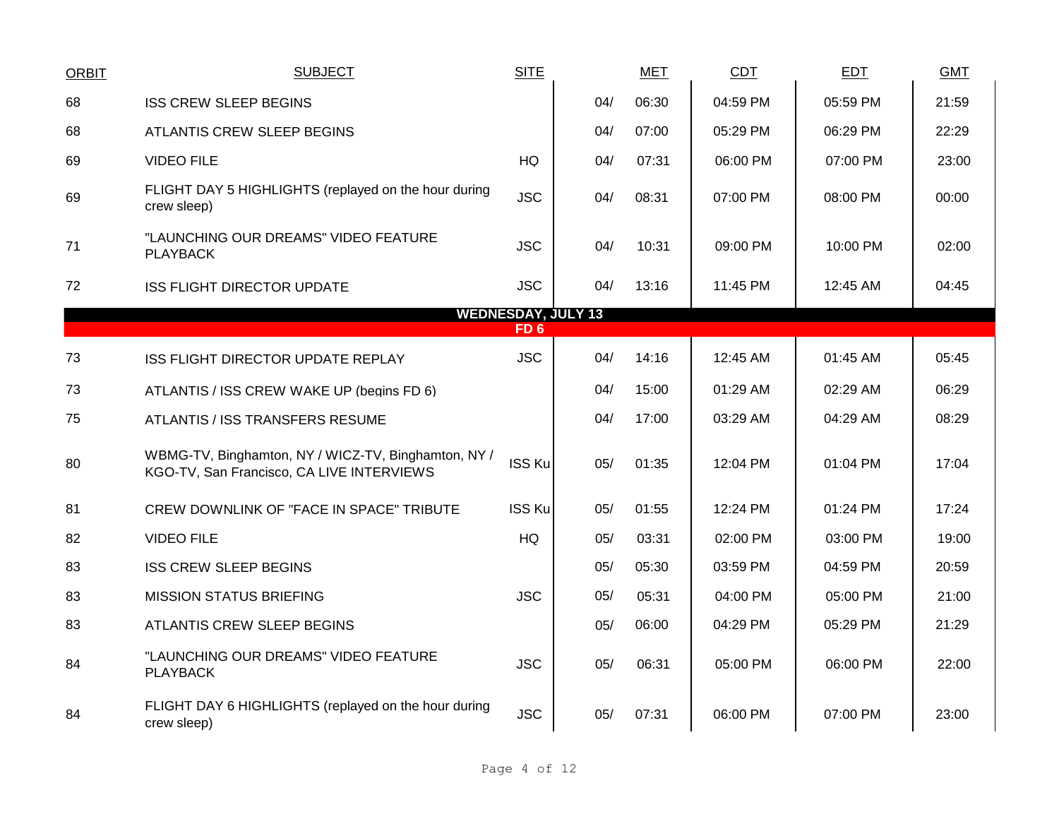| <b>ORBIT</b> | <b>SUBJECT</b>                                                                                   | <b>SITE</b>               |     | <b>MET</b> | <b>CDT</b> | <b>EDT</b> | <b>GMT</b> |
|--------------|--------------------------------------------------------------------------------------------------|---------------------------|-----|------------|------------|------------|------------|
| 68           | <b>ISS CREW SLEEP BEGINS</b>                                                                     |                           | 04/ | 06:30      | 04:59 PM   | 05:59 PM   | 21:59      |
| 68           | ATLANTIS CREW SLEEP BEGINS                                                                       |                           | 04/ | 07:00      | 05:29 PM   | 06:29 PM   | 22:29      |
| 69           | <b>VIDEO FILE</b>                                                                                | HQ                        | 04/ | 07:31      | 06:00 PM   | 07:00 PM   | 23:00      |
| 69           | FLIGHT DAY 5 HIGHLIGHTS (replayed on the hour during<br>crew sleep)                              | <b>JSC</b>                | 04/ | 08:31      | 07:00 PM   | 08:00 PM   | 00:00      |
| 71           | "LAUNCHING OUR DREAMS" VIDEO FEATURE<br><b>PLAYBACK</b>                                          | <b>JSC</b>                | 04/ | 10:31      | 09:00 PM   | 10:00 PM   | 02:00      |
| 72           | <b>ISS FLIGHT DIRECTOR UPDATE</b>                                                                | <b>JSC</b>                | 04/ | 13:16      | 11:45 PM   | 12:45 AM   | 04:45      |
|              |                                                                                                  | <b>WEDNESDAY, JULY 13</b> |     |            |            |            |            |
|              |                                                                                                  | FD <sub>6</sub>           |     |            |            |            |            |
| 73           | <b>ISS FLIGHT DIRECTOR UPDATE REPLAY</b>                                                         | <b>JSC</b>                | 04/ | 14:16      | 12:45 AM   | 01:45 AM   | 05:45      |
| 73           | ATLANTIS / ISS CREW WAKE UP (begins FD 6)                                                        |                           | 04/ | 15:00      | 01:29 AM   | 02:29 AM   | 06:29      |
| 75           | ATLANTIS / ISS TRANSFERS RESUME                                                                  |                           | 04/ | 17:00      | 03:29 AM   | 04:29 AM   | 08:29      |
| 80           | WBMG-TV, Binghamton, NY / WICZ-TV, Binghamton, NY /<br>KGO-TV, San Francisco, CA LIVE INTERVIEWS | <b>ISS Ku</b>             | 05/ | 01:35      | 12:04 PM   | 01:04 PM   | 17:04      |
| 81           | CREW DOWNLINK OF "FACE IN SPACE" TRIBUTE                                                         | ISS Ku                    | 05/ | 01:55      | 12:24 PM   | 01:24 PM   | 17:24      |
| 82           | <b>VIDEO FILE</b>                                                                                | HQ                        | 05/ | 03:31      | 02:00 PM   | 03:00 PM   | 19:00      |
| 83           | <b>ISS CREW SLEEP BEGINS</b>                                                                     |                           | 05/ | 05:30      | 03:59 PM   | 04:59 PM   | 20:59      |
| 83           | <b>MISSION STATUS BRIEFING</b>                                                                   | <b>JSC</b>                | 05/ | 05:31      | 04:00 PM   | 05:00 PM   | 21:00      |
| 83           | ATLANTIS CREW SLEEP BEGINS                                                                       |                           | 05/ | 06:00      | 04:29 PM   | 05:29 PM   | 21:29      |
| 84           | "LAUNCHING OUR DREAMS" VIDEO FEATURE<br><b>PLAYBACK</b>                                          | <b>JSC</b>                | 05/ | 06:31      | 05:00 PM   | 06:00 PM   | 22:00      |
| 84           | FLIGHT DAY 6 HIGHLIGHTS (replayed on the hour during<br>crew sleep)                              | <b>JSC</b>                | 05/ | 07:31      | 06:00 PM   | 07:00 PM   | 23:00      |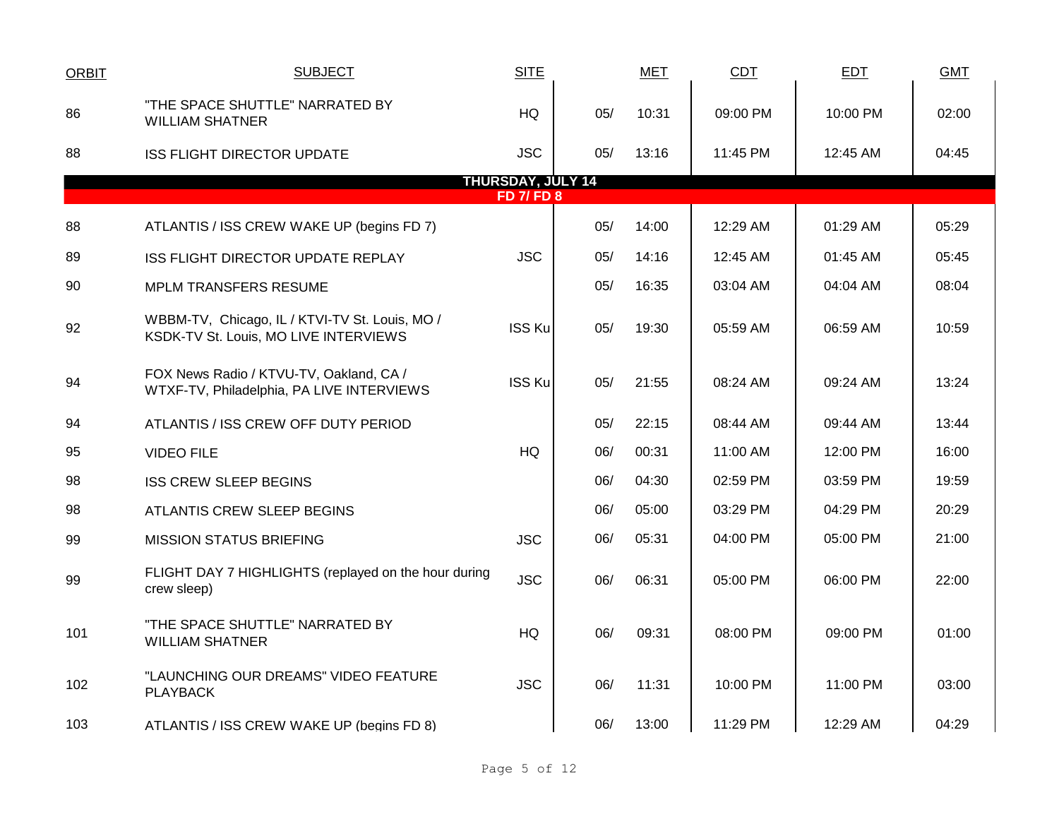| <b>ORBIT</b> | <b>SUBJECT</b>                                                                          | <b>SITE</b>                                   |     | <b>MET</b> | CDT      | <b>EDT</b> | <b>GMT</b> |
|--------------|-----------------------------------------------------------------------------------------|-----------------------------------------------|-----|------------|----------|------------|------------|
| 86           | "THE SPACE SHUTTLE" NARRATED BY<br><b>WILLIAM SHATNER</b>                               | <b>HQ</b>                                     | 05/ | 10:31      | 09:00 PM | 10:00 PM   | 02:00      |
| 88           | <b>ISS FLIGHT DIRECTOR UPDATE</b>                                                       | <b>JSC</b>                                    | 05/ | 13:16      | 11:45 PM | 12:45 AM   | 04:45      |
|              |                                                                                         | <b>THURSDAY, JULY 14</b><br><b>FD 7/ FD 8</b> |     |            |          |            |            |
|              |                                                                                         |                                               |     |            |          |            |            |
| 88           | ATLANTIS / ISS CREW WAKE UP (begins FD 7)                                               |                                               | 05/ | 14:00      | 12:29 AM | 01:29 AM   | 05:29      |
| 89           | <b>ISS FLIGHT DIRECTOR UPDATE REPLAY</b>                                                | <b>JSC</b>                                    | 05/ | 14:16      | 12:45 AM | 01:45 AM   | 05:45      |
| 90           | MPLM TRANSFERS RESUME                                                                   |                                               | 05/ | 16:35      | 03:04 AM | 04:04 AM   | 08:04      |
| 92           | WBBM-TV, Chicago, IL / KTVI-TV St. Louis, MO /<br>KSDK-TV St. Louis, MO LIVE INTERVIEWS | <b>ISS Ku</b>                                 | 05/ | 19:30      | 05:59 AM | 06:59 AM   | 10:59      |
| 94           | FOX News Radio / KTVU-TV, Oakland, CA /<br>WTXF-TV, Philadelphia, PA LIVE INTERVIEWS    | <b>ISS Ku</b>                                 | 05/ | 21:55      | 08:24 AM | 09:24 AM   | 13:24      |
| 94           | ATLANTIS / ISS CREW OFF DUTY PERIOD                                                     |                                               | 05/ | 22:15      | 08:44 AM | 09:44 AM   | 13:44      |
| 95           | <b>VIDEO FILE</b>                                                                       | <b>HQ</b>                                     | 06/ | 00:31      | 11:00 AM | 12:00 PM   | 16:00      |
| 98           | <b>ISS CREW SLEEP BEGINS</b>                                                            |                                               | 06/ | 04:30      | 02:59 PM | 03:59 PM   | 19:59      |
| 98           | ATLANTIS CREW SLEEP BEGINS                                                              |                                               | 06/ | 05:00      | 03:29 PM | 04:29 PM   | 20:29      |
| 99           | <b>MISSION STATUS BRIEFING</b>                                                          | <b>JSC</b>                                    | 06/ | 05:31      | 04:00 PM | 05:00 PM   | 21:00      |
| 99           | FLIGHT DAY 7 HIGHLIGHTS (replayed on the hour during<br>crew sleep)                     | <b>JSC</b>                                    | 06/ | 06:31      | 05:00 PM | 06:00 PM   | 22:00      |
| 101          | "THE SPACE SHUTTLE" NARRATED BY<br><b>WILLIAM SHATNER</b>                               | <b>HQ</b>                                     | 06/ | 09:31      | 08:00 PM | 09:00 PM   | 01:00      |
| 102          | "LAUNCHING OUR DREAMS" VIDEO FEATURE<br><b>PLAYBACK</b>                                 | <b>JSC</b>                                    | 06/ | 11:31      | 10:00 PM | 11:00 PM   | 03:00      |
| 103          | ATLANTIS / ISS CREW WAKE UP (begins FD 8)                                               |                                               | 06/ | 13:00      | 11:29 PM | 12:29 AM   | 04:29      |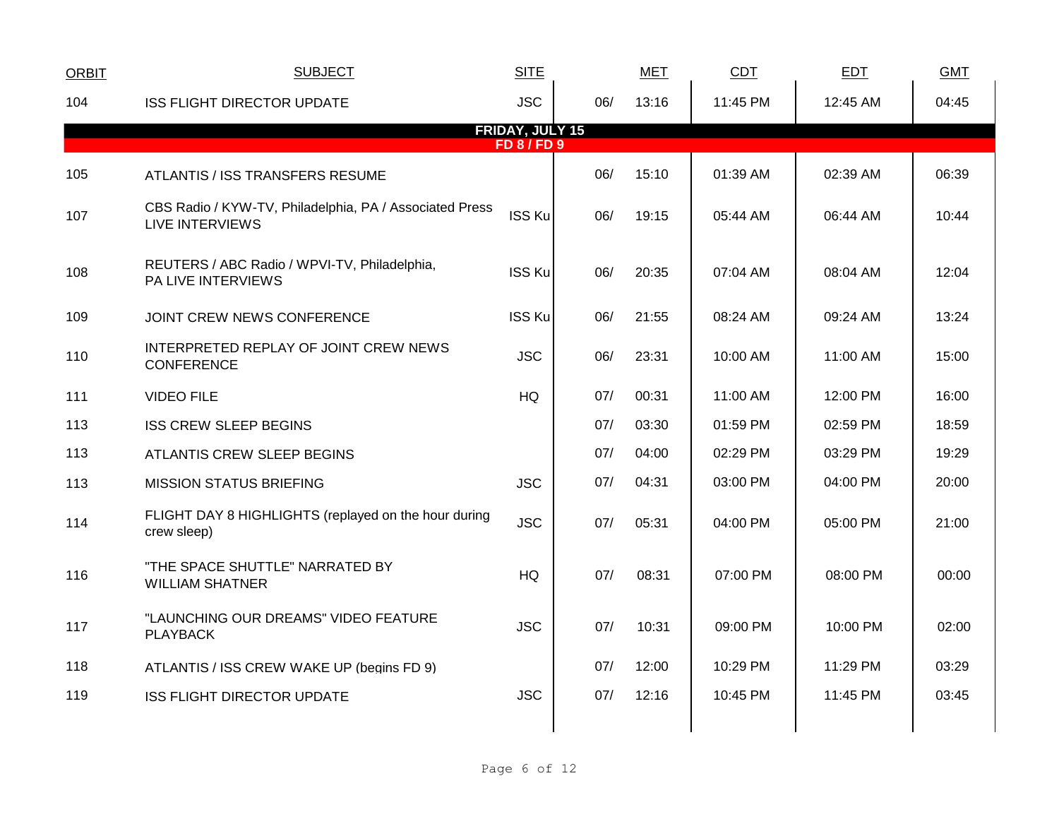| <b>ORBIT</b> | <b>SUBJECT</b>                                                             | <b>SITE</b>                                |     | <b>MET</b> | <b>CDT</b> | EDT      | <b>GMT</b> |
|--------------|----------------------------------------------------------------------------|--------------------------------------------|-----|------------|------------|----------|------------|
| 104          | <b>ISS FLIGHT DIRECTOR UPDATE</b>                                          | <b>JSC</b>                                 | 06/ | 13:16      | 11:45 PM   | 12:45 AM | 04:45      |
|              |                                                                            | <b>FRIDAY, JULY 15</b><br><b>FD 8/FD 9</b> |     |            |            |          |            |
| 105          | ATLANTIS / ISS TRANSFERS RESUME                                            |                                            | 06/ | 15:10      | 01:39 AM   | 02:39 AM | 06:39      |
| 107          | CBS Radio / KYW-TV, Philadelphia, PA / Associated Press<br>LIVE INTERVIEWS | <b>ISS Ku</b>                              | 06/ | 19:15      | 05:44 AM   | 06:44 AM | 10:44      |
| 108          | REUTERS / ABC Radio / WPVI-TV, Philadelphia,<br><b>PA LIVE INTERVIEWS</b>  | <b>ISS Ku</b>                              | 06/ | 20:35      | 07:04 AM   | 08:04 AM | 12:04      |
| 109          | JOINT CREW NEWS CONFERENCE                                                 | <b>ISS Ku</b>                              | 06/ | 21:55      | 08:24 AM   | 09:24 AM | 13:24      |
| 110          | INTERPRETED REPLAY OF JOINT CREW NEWS<br><b>CONFERENCE</b>                 | <b>JSC</b>                                 | 06/ | 23:31      | 10:00 AM   | 11:00 AM | 15:00      |
| 111          | <b>VIDEO FILE</b>                                                          | HQ                                         | 07/ | 00:31      | 11:00 AM   | 12:00 PM | 16:00      |
| 113          | <b>ISS CREW SLEEP BEGINS</b>                                               |                                            | 07/ | 03:30      | 01:59 PM   | 02:59 PM | 18:59      |
| 113          | ATLANTIS CREW SLEEP BEGINS                                                 |                                            | 07/ | 04:00      | 02:29 PM   | 03:29 PM | 19:29      |
| 113          | <b>MISSION STATUS BRIEFING</b>                                             | <b>JSC</b>                                 | 07/ | 04:31      | 03:00 PM   | 04:00 PM | 20:00      |
| 114          | FLIGHT DAY 8 HIGHLIGHTS (replayed on the hour during<br>crew sleep)        | <b>JSC</b>                                 | 07/ | 05:31      | 04:00 PM   | 05:00 PM | 21:00      |
| 116          | "THE SPACE SHUTTLE" NARRATED BY<br><b>WILLIAM SHATNER</b>                  | <b>HQ</b>                                  | 07/ | 08:31      | 07:00 PM   | 08:00 PM | 00:00      |
| 117          | "LAUNCHING OUR DREAMS" VIDEO FEATURE<br><b>PLAYBACK</b>                    | <b>JSC</b>                                 | 07/ | 10:31      | 09:00 PM   | 10:00 PM | 02:00      |
| 118          | ATLANTIS / ISS CREW WAKE UP (begins FD 9)                                  |                                            | 07/ | 12:00      | 10:29 PM   | 11:29 PM | 03:29      |
| 119          | <b>ISS FLIGHT DIRECTOR UPDATE</b>                                          | <b>JSC</b>                                 | 07/ | 12:16      | 10:45 PM   | 11:45 PM | 03:45      |
|              |                                                                            |                                            |     |            |            |          |            |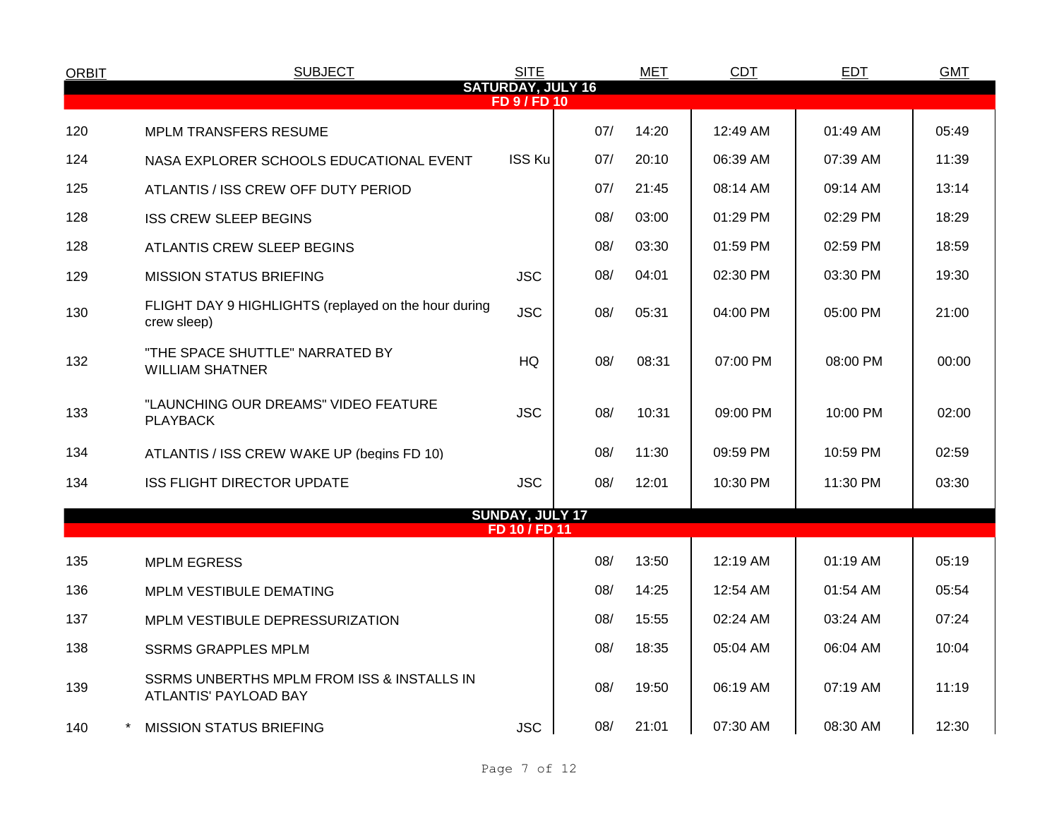| <b>ORBIT</b> | <b>SUBJECT</b>                                                      | <b>SITE</b>            |     | <b>MET</b> | <b>CDT</b> | <b>EDT</b> | <b>GMT</b> |  |  |  |  |  |
|--------------|---------------------------------------------------------------------|------------------------|-----|------------|------------|------------|------------|--|--|--|--|--|
|              | <b>SATURDAY, JULY 16</b><br><b>FD 9 / FD 10</b>                     |                        |     |            |            |            |            |  |  |  |  |  |
| 120          | <b>MPLM TRANSFERS RESUME</b>                                        |                        | 07/ | 14:20      | 12:49 AM   | 01:49 AM   | 05:49      |  |  |  |  |  |
| 124          | NASA EXPLORER SCHOOLS EDUCATIONAL EVENT                             | <b>ISS Ku</b>          | 07/ | 20:10      | 06:39 AM   | 07:39 AM   | 11:39      |  |  |  |  |  |
| 125          | ATLANTIS / ISS CREW OFF DUTY PERIOD                                 |                        | 07/ | 21:45      | 08:14 AM   | 09:14 AM   | 13:14      |  |  |  |  |  |
| 128          | <b>ISS CREW SLEEP BEGINS</b>                                        |                        | 08/ | 03:00      | 01:29 PM   | 02:29 PM   | 18:29      |  |  |  |  |  |
| 128          | ATLANTIS CREW SLEEP BEGINS                                          |                        | 08/ | 03:30      | 01:59 PM   | 02:59 PM   | 18:59      |  |  |  |  |  |
| 129          | <b>MISSION STATUS BRIEFING</b>                                      | <b>JSC</b>             | 08/ | 04:01      | 02:30 PM   | 03:30 PM   | 19:30      |  |  |  |  |  |
| 130          | FLIGHT DAY 9 HIGHLIGHTS (replayed on the hour during<br>crew sleep) | <b>JSC</b>             | 08/ | 05:31      | 04:00 PM   | 05:00 PM   | 21:00      |  |  |  |  |  |
| 132          | "THE SPACE SHUTTLE" NARRATED BY<br><b>WILLIAM SHATNER</b>           | <b>HQ</b>              | 08/ | 08:31      | 07:00 PM   | 08:00 PM   | 00:00      |  |  |  |  |  |
| 133          | "LAUNCHING OUR DREAMS" VIDEO FEATURE<br><b>PLAYBACK</b>             | <b>JSC</b>             | 08/ | 10:31      | 09:00 PM   | 10:00 PM   | 02:00      |  |  |  |  |  |
| 134          | ATLANTIS / ISS CREW WAKE UP (begins FD 10)                          |                        | 08/ | 11:30      | 09:59 PM   | 10:59 PM   | 02:59      |  |  |  |  |  |
| 134          | <b>ISS FLIGHT DIRECTOR UPDATE</b>                                   | <b>JSC</b>             | 08/ | 12:01      | 10:30 PM   | 11:30 PM   | 03:30      |  |  |  |  |  |
|              |                                                                     | <b>SUNDAY, JULY 17</b> |     |            |            |            |            |  |  |  |  |  |
|              |                                                                     | FD 10 / FD 11          |     |            |            |            |            |  |  |  |  |  |
| 135          | <b>MPLM EGRESS</b>                                                  |                        | 08/ | 13:50      | 12:19 AM   | $01:19$ AM | 05:19      |  |  |  |  |  |
| 136          | MPLM VESTIBULE DEMATING                                             |                        | 08/ | 14:25      | 12:54 AM   | 01:54 AM   | 05:54      |  |  |  |  |  |
| 137          | MPLM VESTIBULE DEPRESSURIZATION                                     |                        | 08/ | 15:55      | 02:24 AM   | 03:24 AM   | 07:24      |  |  |  |  |  |
| 138          | <b>SSRMS GRAPPLES MPLM</b>                                          |                        | 08/ | 18:35      | 05:04 AM   | 06:04 AM   | 10:04      |  |  |  |  |  |
| 139          | SSRMS UNBERTHS MPLM FROM ISS & INSTALLS IN<br>ATLANTIS' PAYLOAD BAY |                        | 08/ | 19:50      | 06:19 AM   | 07:19 AM   | 11:19      |  |  |  |  |  |
| 140          | <b>MISSION STATUS BRIEFING</b>                                      | <b>JSC</b>             | 08/ | 21:01      | 07:30 AM   | 08:30 AM   | 12:30      |  |  |  |  |  |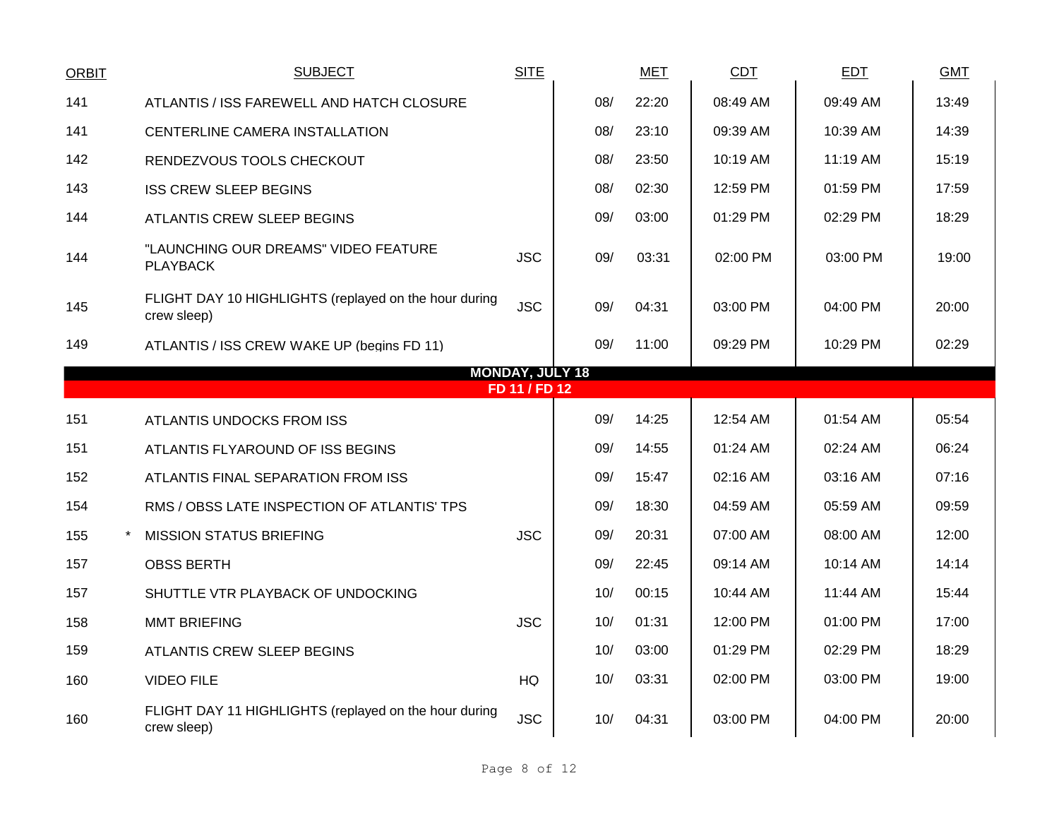| <b>ORBIT</b> | <b>SUBJECT</b>                                                       | <b>SITE</b>            |     | <b>MET</b> | CDT      | <b>EDT</b> | <b>GMT</b> |
|--------------|----------------------------------------------------------------------|------------------------|-----|------------|----------|------------|------------|
| 141          | ATLANTIS / ISS FAREWELL AND HATCH CLOSURE                            |                        | 08/ | 22:20      | 08:49 AM | 09:49 AM   | 13:49      |
| 141          | CENTERLINE CAMERA INSTALLATION                                       |                        | 08/ | 23:10      | 09:39 AM | 10:39 AM   | 14:39      |
| 142          | RENDEZVOUS TOOLS CHECKOUT                                            |                        | 08/ | 23:50      | 10:19 AM | 11:19 AM   | 15:19      |
| 143          | <b>ISS CREW SLEEP BEGINS</b>                                         |                        | 08/ | 02:30      | 12:59 PM | 01:59 PM   | 17:59      |
| 144          | ATLANTIS CREW SLEEP BEGINS                                           |                        | 09/ | 03:00      | 01:29 PM | 02:29 PM   | 18:29      |
| 144          | "LAUNCHING OUR DREAMS" VIDEO FEATURE<br><b>PLAYBACK</b>              | <b>JSC</b>             | 09/ | 03:31      | 02:00 PM | 03:00 PM   | 19:00      |
| 145          | FLIGHT DAY 10 HIGHLIGHTS (replayed on the hour during<br>crew sleep) | <b>JSC</b>             | 09/ | 04:31      | 03:00 PM | 04:00 PM   | 20:00      |
| 149          | ATLANTIS / ISS CREW WAKE UP (begins FD 11)                           |                        | 09/ | 11:00      | 09:29 PM | 10:29 PM   | 02:29      |
|              |                                                                      | <b>MONDAY, JULY 18</b> |     |            |          |            |            |
|              |                                                                      | FD 11 / FD 12          |     |            |          |            |            |
| 151          | ATLANTIS UNDOCKS FROM ISS                                            |                        | 09/ | 14:25      | 12:54 AM | 01:54 AM   | 05:54      |
| 151          | ATLANTIS FLYAROUND OF ISS BEGINS                                     |                        | 09/ | 14:55      | 01:24 AM | 02:24 AM   | 06:24      |
| 152          | ATLANTIS FINAL SEPARATION FROM ISS                                   |                        | 09/ | 15:47      | 02:16 AM | 03:16 AM   | 07:16      |
| 154          | RMS / OBSS LATE INSPECTION OF ATLANTIS' TPS                          |                        | 09/ | 18:30      | 04:59 AM | 05:59 AM   | 09:59      |
| 155          | <b>MISSION STATUS BRIEFING</b>                                       | <b>JSC</b>             | 09/ | 20:31      | 07:00 AM | 08:00 AM   | 12:00      |
| 157          | <b>OBSS BERTH</b>                                                    |                        | 09/ | 22:45      | 09:14 AM | 10:14 AM   | 14:14      |
| 157          | SHUTTLE VTR PLAYBACK OF UNDOCKING                                    |                        | 10/ | 00:15      | 10:44 AM | 11:44 AM   | 15:44      |
| 158          | <b>MMT BRIEFING</b>                                                  | <b>JSC</b>             | 10/ | 01:31      | 12:00 PM | 01:00 PM   | 17:00      |
| 159          | ATLANTIS CREW SLEEP BEGINS                                           |                        | 10/ | 03:00      | 01:29 PM | 02:29 PM   | 18:29      |
| 160          | <b>VIDEO FILE</b>                                                    | HQ                     | 10/ | 03:31      | 02:00 PM | 03:00 PM   | 19:00      |
| 160          | FLIGHT DAY 11 HIGHLIGHTS (replayed on the hour during<br>crew sleep) | <b>JSC</b>             | 10/ | 04:31      | 03:00 PM | 04:00 PM   | 20:00      |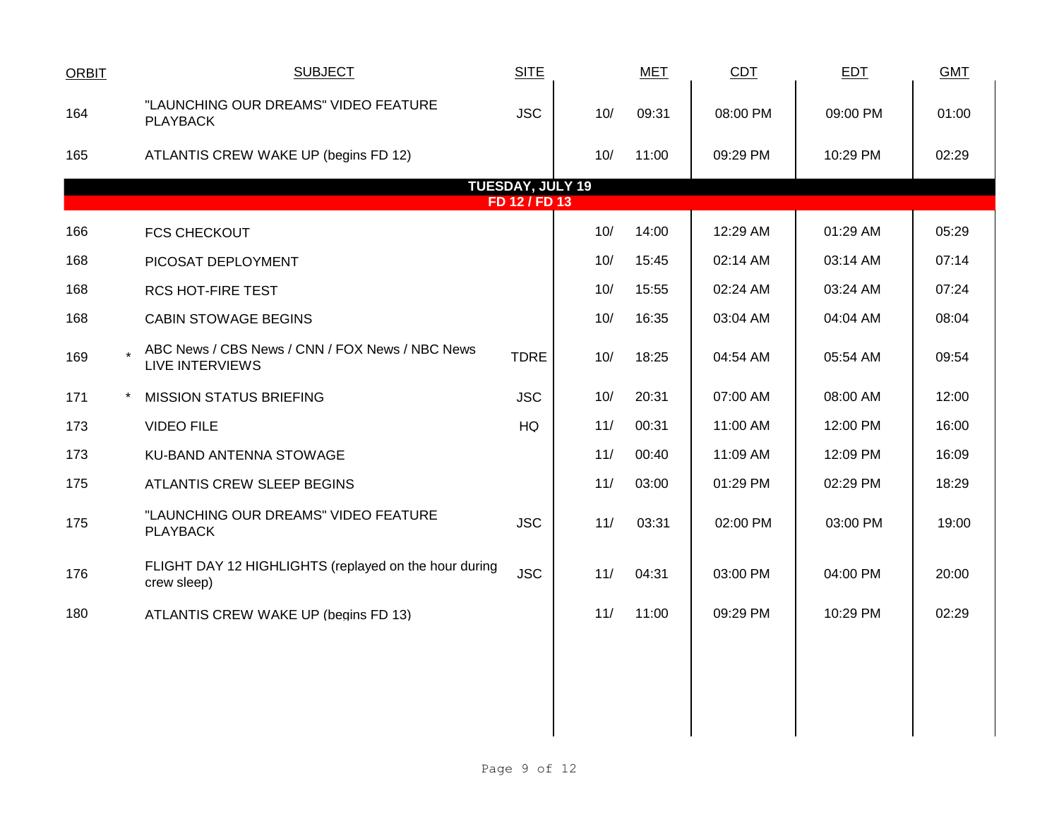| <b>ORBIT</b> | <b>SUBJECT</b>                                                            | <b>SITE</b>                              |     | <b>MET</b> | CDT      | <b>EDT</b> | <b>GMT</b> |
|--------------|---------------------------------------------------------------------------|------------------------------------------|-----|------------|----------|------------|------------|
| 164          | "LAUNCHING OUR DREAMS" VIDEO FEATURE<br><b>PLAYBACK</b>                   | <b>JSC</b>                               | 10/ | 09:31      | 08:00 PM | 09:00 PM   | 01:00      |
| 165          | ATLANTIS CREW WAKE UP (begins FD 12)                                      |                                          | 10/ | 11:00      | 09:29 PM | 10:29 PM   | 02:29      |
|              |                                                                           | <b>TUESDAY, JULY 19</b><br>FD 12 / FD 13 |     |            |          |            |            |
| 166          | <b>FCS CHECKOUT</b>                                                       |                                          | 10/ | 14:00      | 12:29 AM | 01:29 AM   | 05:29      |
| 168          | PICOSAT DEPLOYMENT                                                        |                                          | 10/ | 15:45      | 02:14 AM | 03:14 AM   | 07:14      |
| 168          | <b>RCS HOT-FIRE TEST</b>                                                  |                                          | 10/ | 15:55      | 02:24 AM | 03:24 AM   | 07:24      |
| 168          | <b>CABIN STOWAGE BEGINS</b>                                               |                                          | 10/ | 16:35      | 03:04 AM | 04:04 AM   | 08:04      |
| 169          | ABC News / CBS News / CNN / FOX News / NBC News<br><b>LIVE INTERVIEWS</b> | <b>TDRE</b>                              | 10/ | 18:25      | 04:54 AM | 05:54 AM   | 09:54      |
| 171          | <b>MISSION STATUS BRIEFING</b>                                            | <b>JSC</b>                               | 10/ | 20:31      | 07:00 AM | 08:00 AM   | 12:00      |
| 173          | <b>VIDEO FILE</b>                                                         | HQ                                       | 11/ | 00:31      | 11:00 AM | 12:00 PM   | 16:00      |
| 173          | KU-BAND ANTENNA STOWAGE                                                   |                                          | 11/ | 00:40      | 11:09 AM | 12:09 PM   | 16:09      |
| 175          | ATLANTIS CREW SLEEP BEGINS                                                |                                          | 11/ | 03:00      | 01:29 PM | 02:29 PM   | 18:29      |
| 175          | "LAUNCHING OUR DREAMS" VIDEO FEATURE<br><b>PLAYBACK</b>                   | <b>JSC</b>                               | 11/ | 03:31      | 02:00 PM | 03:00 PM   | 19:00      |
| 176          | FLIGHT DAY 12 HIGHLIGHTS (replayed on the hour during<br>crew sleep)      | <b>JSC</b>                               | 11/ | 04:31      | 03:00 PM | 04:00 PM   | 20:00      |
| 180          | ATLANTIS CREW WAKE UP (begins FD 13)                                      |                                          | 11/ | 11:00      | 09:29 PM | 10:29 PM   | 02:29      |
|              |                                                                           |                                          |     |            |          |            |            |
|              |                                                                           |                                          |     |            |          |            |            |
|              |                                                                           |                                          |     |            |          |            |            |
|              |                                                                           |                                          |     |            |          |            |            |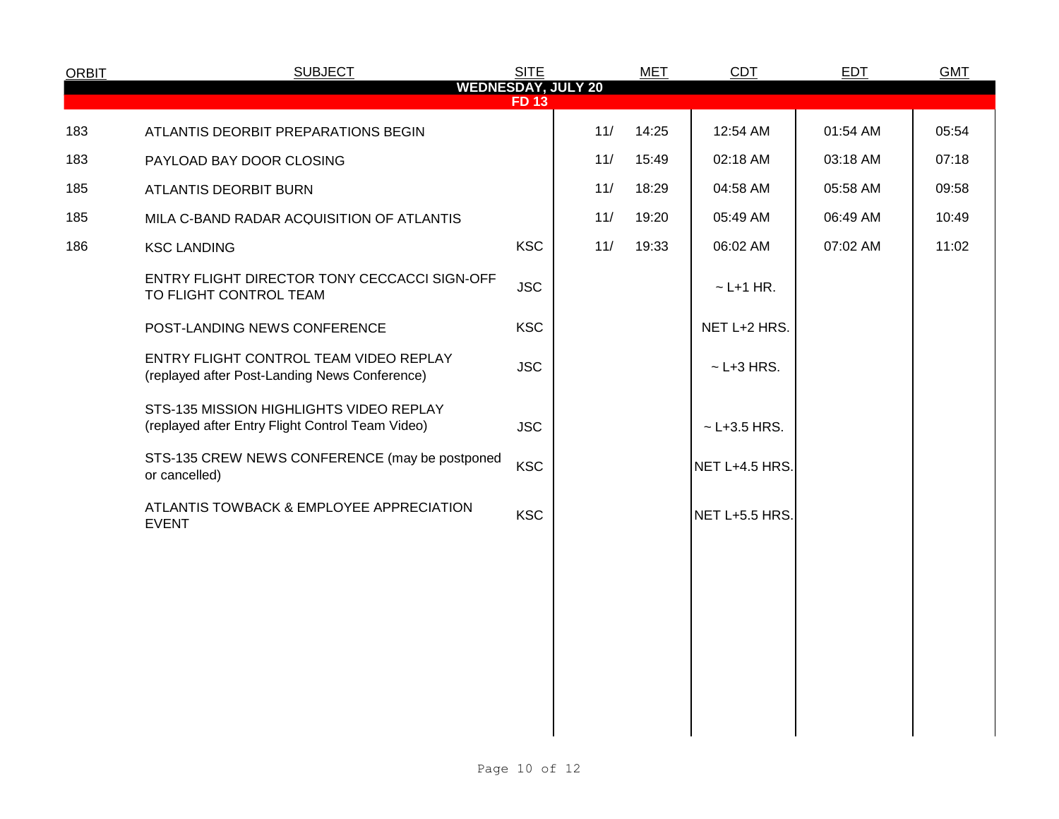| <b>ORBIT</b> | <b>SUBJECT</b>                                                                              | <b>SITE</b> |                           | <b>MET</b> | <b>CDT</b>         | <b>EDT</b> | <b>GMT</b> |
|--------------|---------------------------------------------------------------------------------------------|-------------|---------------------------|------------|--------------------|------------|------------|
|              |                                                                                             | <b>FD13</b> | <b>WEDNESDAY, JULY 20</b> |            |                    |            |            |
| 183          | ATLANTIS DEORBIT PREPARATIONS BEGIN                                                         |             | 11/                       | 14:25      | 12:54 AM           | 01:54 AM   | 05:54      |
| 183          | PAYLOAD BAY DOOR CLOSING                                                                    |             | 11/                       | 15:49      | 02:18 AM           | 03:18 AM   | 07:18      |
| 185          | ATLANTIS DEORBIT BURN                                                                       |             | 11/                       | 18:29      | 04:58 AM           | 05:58 AM   | 09:58      |
| 185          | MILA C-BAND RADAR ACQUISITION OF ATLANTIS                                                   |             | 11/                       | 19:20      | 05:49 AM           | 06:49 AM   | 10:49      |
| 186          | <b>KSC LANDING</b>                                                                          | <b>KSC</b>  | 11/                       | 19:33      | 06:02 AM           | 07:02 AM   | 11:02      |
|              | ENTRY FLIGHT DIRECTOR TONY CECCACCI SIGN-OFF<br>TO FLIGHT CONTROL TEAM                      | <b>JSC</b>  |                           |            | $\sim$ L+1 HR.     |            |            |
|              | POST-LANDING NEWS CONFERENCE                                                                | <b>KSC</b>  |                           |            | NET L+2 HRS.       |            |            |
|              | ENTRY FLIGHT CONTROL TEAM VIDEO REPLAY<br>(replayed after Post-Landing News Conference)     | <b>JSC</b>  |                           |            | $\sim$ L+3 HRS.    |            |            |
|              | STS-135 MISSION HIGHLIGHTS VIDEO REPLAY<br>(replayed after Entry Flight Control Team Video) | <b>JSC</b>  |                           |            | $~\sim$ L+3.5 HRS. |            |            |
|              | STS-135 CREW NEWS CONFERENCE (may be postponed<br>or cancelled)                             | <b>KSC</b>  |                           |            | NET L+4.5 HRS.     |            |            |
|              | ATLANTIS TOWBACK & EMPLOYEE APPRECIATION<br><b>EVENT</b>                                    | <b>KSC</b>  |                           |            | NET L+5.5 HRS.     |            |            |
|              |                                                                                             |             |                           |            |                    |            |            |
|              |                                                                                             |             |                           |            |                    |            |            |
|              |                                                                                             |             |                           |            |                    |            |            |
|              |                                                                                             |             |                           |            |                    |            |            |
|              |                                                                                             |             |                           |            |                    |            |            |
|              |                                                                                             |             |                           |            |                    |            |            |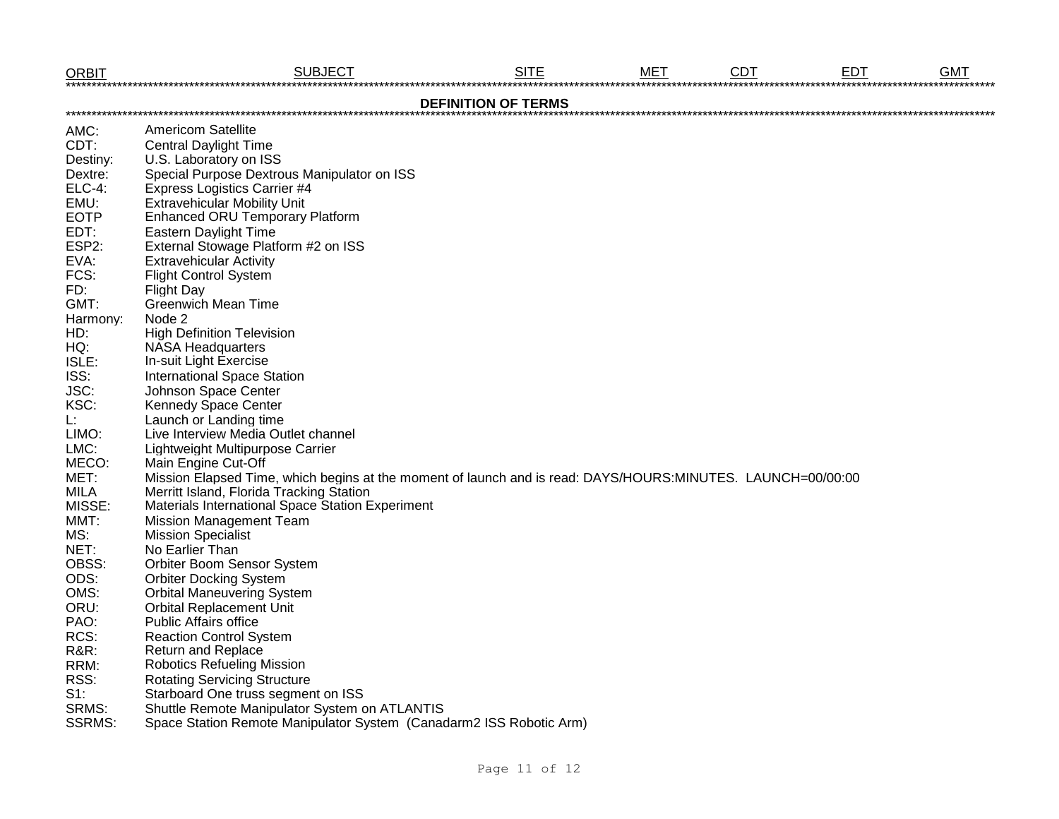| <b>ORBIT</b>    | <b>SUBJECT</b>                                                                                              | <b>SITE</b> | MET | <b>CDT</b> | <b>EDT</b> | <b>GMT</b> |  |  |  |  |  |  |
|-----------------|-------------------------------------------------------------------------------------------------------------|-------------|-----|------------|------------|------------|--|--|--|--|--|--|
|                 | <b>DEFINITION OF TERMS</b>                                                                                  |             |     |            |            |            |  |  |  |  |  |  |
| AMC:            | <b>Americom Satellite</b>                                                                                   |             |     |            |            |            |  |  |  |  |  |  |
| CDT:            | <b>Central Daylight Time</b>                                                                                |             |     |            |            |            |  |  |  |  |  |  |
| Destiny:        | U.S. Laboratory on ISS                                                                                      |             |     |            |            |            |  |  |  |  |  |  |
| Dextre:         | Special Purpose Dextrous Manipulator on ISS                                                                 |             |     |            |            |            |  |  |  |  |  |  |
| <b>ELC-4:</b>   | <b>Express Logistics Carrier #4</b>                                                                         |             |     |            |            |            |  |  |  |  |  |  |
| EMU:            | <b>Extravehicular Mobility Unit</b>                                                                         |             |     |            |            |            |  |  |  |  |  |  |
| <b>EOTP</b>     | <b>Enhanced ORU Temporary Platform</b>                                                                      |             |     |            |            |            |  |  |  |  |  |  |
| EDT:            | <b>Eastern Daylight Time</b>                                                                                |             |     |            |            |            |  |  |  |  |  |  |
| ESP2:           | External Stowage Platform #2 on ISS                                                                         |             |     |            |            |            |  |  |  |  |  |  |
| EVA:            | <b>Extravehicular Activity</b>                                                                              |             |     |            |            |            |  |  |  |  |  |  |
| FCS:            | <b>Flight Control System</b>                                                                                |             |     |            |            |            |  |  |  |  |  |  |
| FD:             | <b>Flight Day</b>                                                                                           |             |     |            |            |            |  |  |  |  |  |  |
| GMT:            | <b>Greenwich Mean Time</b>                                                                                  |             |     |            |            |            |  |  |  |  |  |  |
| Harmony:        | Node 2                                                                                                      |             |     |            |            |            |  |  |  |  |  |  |
| HD:             | <b>High Definition Television</b>                                                                           |             |     |            |            |            |  |  |  |  |  |  |
| HQ:             | <b>NASA Headquarters</b>                                                                                    |             |     |            |            |            |  |  |  |  |  |  |
| ISLE:           | In-suit Light Exercise                                                                                      |             |     |            |            |            |  |  |  |  |  |  |
| ISS:            | <b>International Space Station</b>                                                                          |             |     |            |            |            |  |  |  |  |  |  |
| JSC:            | Johnson Space Center                                                                                        |             |     |            |            |            |  |  |  |  |  |  |
| KSC:            | <b>Kennedy Space Center</b>                                                                                 |             |     |            |            |            |  |  |  |  |  |  |
| Ŀ.              | Launch or Landing time                                                                                      |             |     |            |            |            |  |  |  |  |  |  |
| LIMO:           | Live Interview Media Outlet channel                                                                         |             |     |            |            |            |  |  |  |  |  |  |
| LMC:            | Lightweight Multipurpose Carrier                                                                            |             |     |            |            |            |  |  |  |  |  |  |
| MECO:           | Main Engine Cut-Off                                                                                         |             |     |            |            |            |  |  |  |  |  |  |
| MET:            | Mission Elapsed Time, which begins at the moment of launch and is read: DAYS/HOURS:MINUTES. LAUNCH=00/00:00 |             |     |            |            |            |  |  |  |  |  |  |
| MILA            | Merritt Island, Florida Tracking Station                                                                    |             |     |            |            |            |  |  |  |  |  |  |
| MISSE:          | Materials International Space Station Experiment                                                            |             |     |            |            |            |  |  |  |  |  |  |
| MMT:            | <b>Mission Management Team</b>                                                                              |             |     |            |            |            |  |  |  |  |  |  |
| MS:             | <b>Mission Specialist</b>                                                                                   |             |     |            |            |            |  |  |  |  |  |  |
| NET:            | No Earlier Than                                                                                             |             |     |            |            |            |  |  |  |  |  |  |
| OBSS:           | Orbiter Boom Sensor System                                                                                  |             |     |            |            |            |  |  |  |  |  |  |
| ODS:            | <b>Orbiter Docking System</b>                                                                               |             |     |            |            |            |  |  |  |  |  |  |
| OMS:            | <b>Orbital Maneuvering System</b>                                                                           |             |     |            |            |            |  |  |  |  |  |  |
| ORU:            | <b>Orbital Replacement Unit</b>                                                                             |             |     |            |            |            |  |  |  |  |  |  |
| PAO:            | <b>Public Affairs office</b>                                                                                |             |     |            |            |            |  |  |  |  |  |  |
| RCS:            | <b>Reaction Control System</b>                                                                              |             |     |            |            |            |  |  |  |  |  |  |
| <b>R&amp;R:</b> | Return and Replace<br><b>Robotics Refueling Mission</b>                                                     |             |     |            |            |            |  |  |  |  |  |  |
| RRM:            |                                                                                                             |             |     |            |            |            |  |  |  |  |  |  |
| RSS:<br>$S1$ :  | <b>Rotating Servicing Structure</b>                                                                         |             |     |            |            |            |  |  |  |  |  |  |
| SRMS:           | Starboard One truss segment on ISS                                                                          |             |     |            |            |            |  |  |  |  |  |  |
|                 | Shuttle Remote Manipulator System on ATLANTIS                                                               |             |     |            |            |            |  |  |  |  |  |  |
| <b>SSRMS:</b>   | Space Station Remote Manipulator System (Canadarm2 ISS Robotic Arm)                                         |             |     |            |            |            |  |  |  |  |  |  |